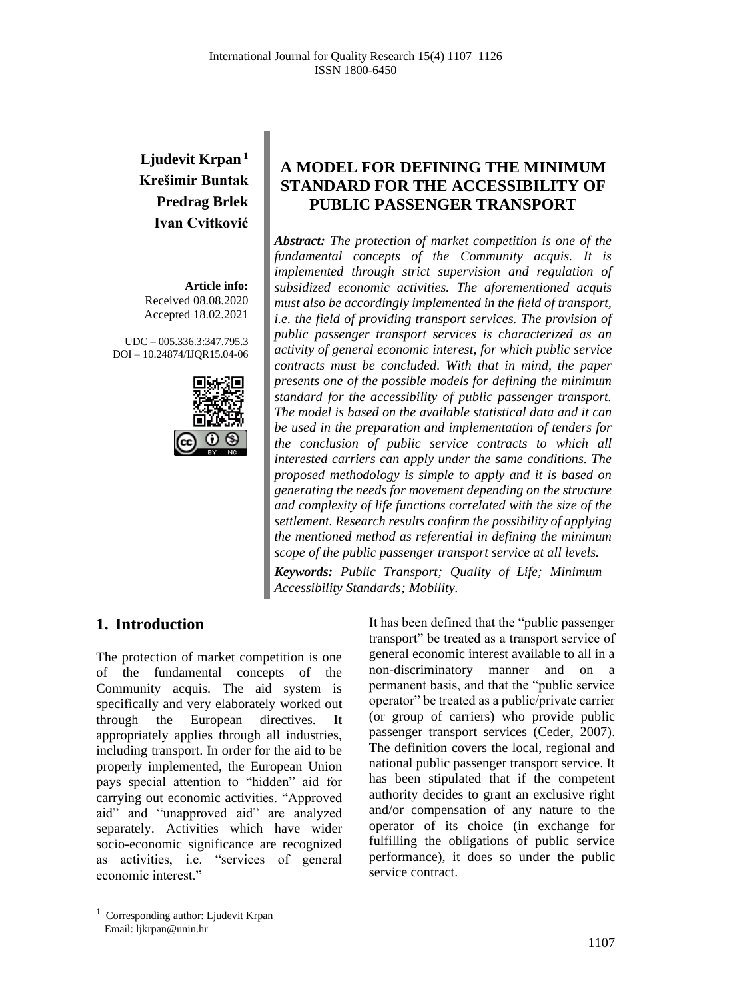# **Ljudevit Krpan <sup>1</sup> Krešimir Buntak Predrag Brlek Ivan Cvitković**

**Article info:** Received 08.08.2020 Accepted 18.02.2021

UDC – 005.336.3:347.795.3 DOI – 10.24874/IJQR15.04-06



## **A MODEL FOR DEFINING THE MINIMUM STANDARD FOR THE ACCESSIBILITY OF PUBLIC PASSENGER TRANSPORT**

*Abstract: The protection of market competition is one of the fundamental concepts of the Community acquis. It is implemented through strict supervision and regulation of subsidized economic activities. The aforementioned acquis must also be accordingly implemented in the field of transport, i.e. the field of providing transport services. The provision of public passenger transport services is characterized as an activity of general economic interest, for which public service contracts must be concluded. With that in mind, the paper presents one of the possible models for defining the minimum standard for the accessibility of public passenger transport. The model is based on the available statistical data and it can be used in the preparation and implementation of tenders for the conclusion of public service contracts to which all interested carriers can apply under the same conditions. The proposed methodology is simple to apply and it is based on generating the needs for movement depending on the structure and complexity of life functions correlated with the size of the settlement. Research results confirm the possibility of applying the mentioned method as referential in defining the minimum scope of the public passenger transport service at all levels.*

*Keywords: Public Transport; Quality of Life; Minimum Accessibility Standards; Mobility.*

## **1. Introduction**

The protection of market competition is one of the fundamental concepts of the Community acquis. The aid system is specifically and very elaborately worked out through the European directives. It appropriately applies through all industries, including transport. In order for the aid to be properly implemented, the European Union pays special attention to "hidden" aid for carrying out economic activities. "Approved aid" and "unapproved aid" are analyzed separately. Activities which have wider socio-economic significance are recognized as activities, i.e. "services of general economic interest."

It has been defined that the "public passenger transport" be treated as a transport service of general economic interest available to all in a non-discriminatory manner and on a permanent basis, and that the "public service operator" be treated as a public/private carrier (or group of carriers) who provide public passenger transport services (Ceder, 2007). The definition covers the local, regional and national public passenger transport service. It has been stipulated that if the competent authority decides to grant an exclusive right and/or compensation of any nature to the operator of its choice (in exchange for fulfilling the obligations of public service performance), it does so under the public service contract.

<sup>1</sup> Corresponding author: Ljudevit Krpan Email[: ljkrpan@unin.hr](mailto:ljkrpan@unin.hr)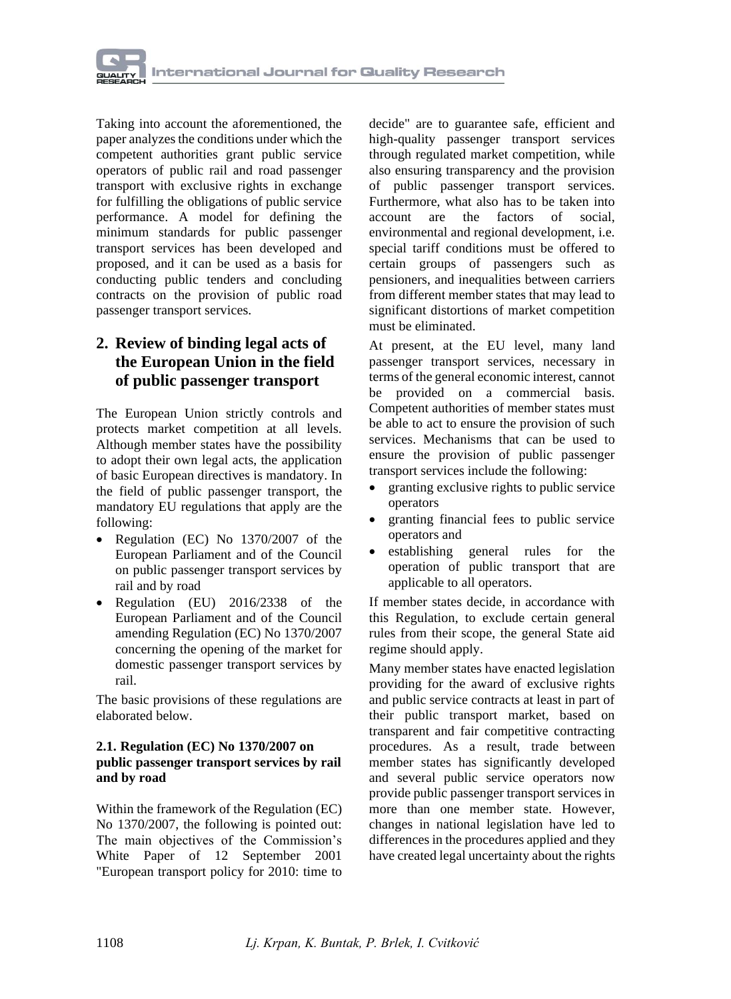Taking into account the aforementioned, the paper analyzes the conditions under which the competent authorities grant public service operators of public rail and road passenger transport with exclusive rights in exchange for fulfilling the obligations of public service performance. A model for defining the minimum standards for public passenger transport services has been developed and proposed, and it can be used as a basis for conducting public tenders and concluding contracts on the provision of public road passenger transport services.

## **2. Review of binding legal acts of the European Union in the field of public passenger transport**

The European Union strictly controls and protects market competition at all levels. Although member states have the possibility to adopt their own legal acts, the application of basic European directives is mandatory. In the field of public passenger transport, the mandatory EU regulations that apply are the following:

- Regulation (EC) No 1370/2007 of the European Parliament and of the Council on public passenger transport services by rail and by road
- Regulation (EU) 2016/2338 of the European Parliament and of the Council amending Regulation (EC) No 1370/2007 concerning the opening of the market for domestic passenger transport services by rail.

The basic provisions of these regulations are elaborated below.

#### **2.1. Regulation (EC) No 1370/2007 on public passenger transport services by rail and by road**

Within the framework of the Regulation (EC) No 1370/2007, the following is pointed out: The main objectives of the Commission's White Paper of 12 September 2001 "European transport policy for 2010: time to

decide" are to guarantee safe, efficient and high-quality passenger transport services through regulated market competition, while also ensuring transparency and the provision of public passenger transport services. Furthermore, what also has to be taken into account are the factors of social, environmental and regional development, i.e. special tariff conditions must be offered to certain groups of passengers such as pensioners, and inequalities between carriers from different member states that may lead to significant distortions of market competition must be eliminated.

At present, at the EU level, many land passenger transport services, necessary in terms of the general economic interest, cannot be provided on a commercial basis. Competent authorities of member states must be able to act to ensure the provision of such services. Mechanisms that can be used to ensure the provision of public passenger transport services include the following:

- granting exclusive rights to public service operators
- granting financial fees to public service operators and
- establishing general rules for the operation of public transport that are applicable to all operators.

If member states decide, in accordance with this Regulation, to exclude certain general rules from their scope, the general State aid regime should apply.

Many member states have enacted legislation providing for the award of exclusive rights and public service contracts at least in part of their public transport market, based on transparent and fair competitive contracting procedures. As a result, trade between member states has significantly developed and several public service operators now provide public passenger transport services in more than one member state. However, changes in national legislation have led to differences in the procedures applied and they have created legal uncertainty about the rights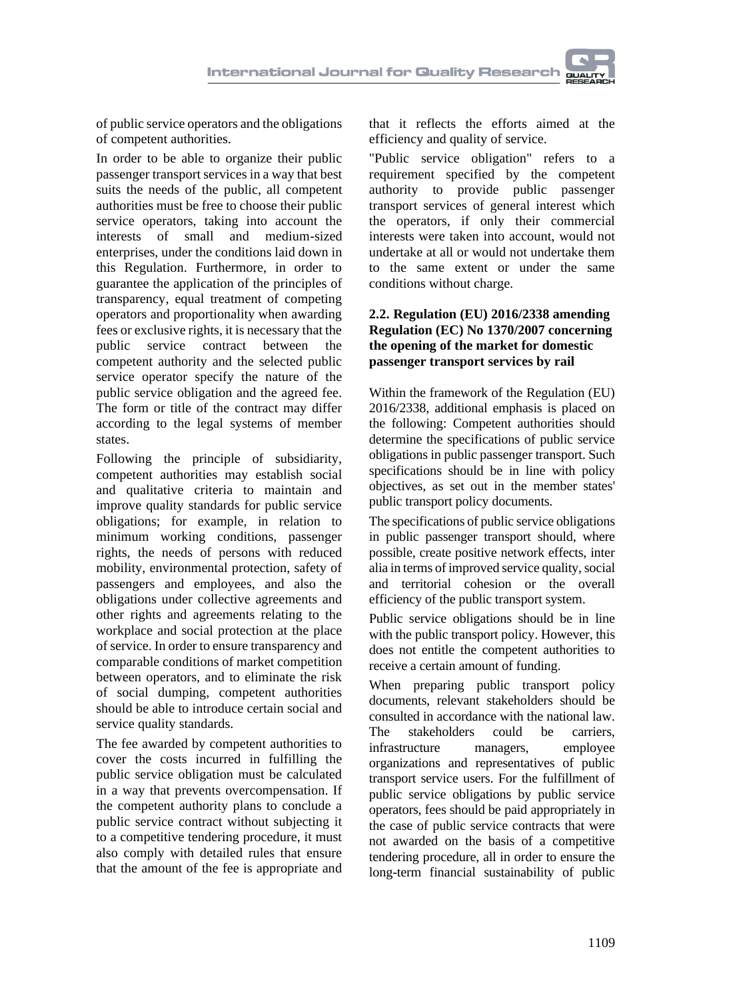

of public service operators and the obligations of competent authorities.

In order to be able to organize their public passenger transport services in a way that best suits the needs of the public, all competent authorities must be free to choose their public service operators, taking into account the interests of small and medium-sized enterprises, under the conditions laid down in this Regulation. Furthermore, in order to guarantee the application of the principles of transparency, equal treatment of competing operators and proportionality when awarding fees or exclusive rights, it is necessary that the public service contract between the competent authority and the selected public service operator specify the nature of the public service obligation and the agreed fee. The form or title of the contract may differ according to the legal systems of member states.

Following the principle of subsidiarity, competent authorities may establish social and qualitative criteria to maintain and improve quality standards for public service obligations; for example, in relation to minimum working conditions, passenger rights, the needs of persons with reduced mobility, environmental protection, safety of passengers and employees, and also the obligations under collective agreements and other rights and agreements relating to the workplace and social protection at the place of service. In order to ensure transparency and comparable conditions of market competition between operators, and to eliminate the risk of social dumping, competent authorities should be able to introduce certain social and service quality standards.

The fee awarded by competent authorities to cover the costs incurred in fulfilling the public service obligation must be calculated in a way that prevents overcompensation. If the competent authority plans to conclude a public service contract without subjecting it to a competitive tendering procedure, it must also comply with detailed rules that ensure that the amount of the fee is appropriate and

that it reflects the efforts aimed at the efficiency and quality of service.

"Public service obligation" refers to a requirement specified by the competent authority to provide public passenger transport services of general interest which the operators, if only their commercial interests were taken into account, would not undertake at all or would not undertake them to the same extent or under the same conditions without charge.

#### **2.2. Regulation (EU) 2016/2338 amending Regulation (EC) No 1370/2007 concerning the opening of the market for domestic passenger transport services by rail**

Within the framework of the Regulation (EU) 2016/2338, additional emphasis is placed on the following: Competent authorities should determine the specifications of public service obligations in public passenger transport. Such specifications should be in line with policy objectives, as set out in the member states' public transport policy documents.

The specifications of public service obligations in public passenger transport should, where possible, create positive network effects, inter alia in terms of improved service quality, social and territorial cohesion or the overall efficiency of the public transport system.

Public service obligations should be in line with the public transport policy. However, this does not entitle the competent authorities to receive a certain amount of funding.

When preparing public transport policy documents, relevant stakeholders should be consulted in accordance with the national law. The stakeholders could be carriers, infrastructure managers, employee organizations and representatives of public transport service users. For the fulfillment of public service obligations by public service operators, fees should be paid appropriately in the case of public service contracts that were not awarded on the basis of a competitive tendering procedure, all in order to ensure the long-term financial sustainability of public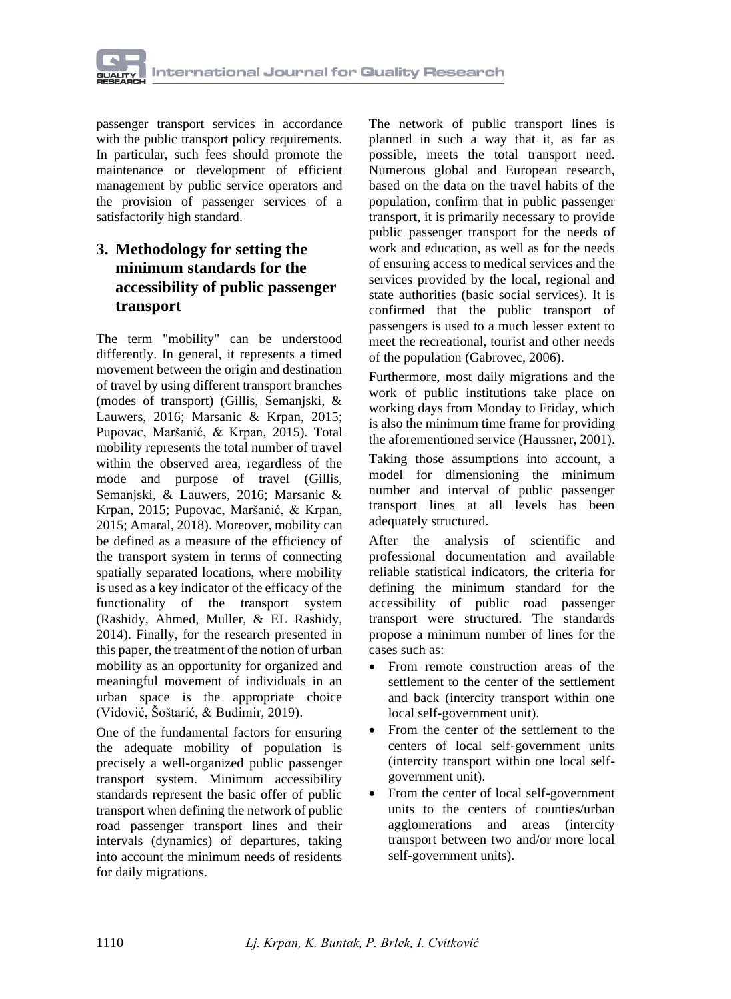

passenger transport services in accordance with the public transport policy requirements. In particular, such fees should promote the maintenance or development of efficient management by public service operators and the provision of passenger services of a satisfactorily high standard.

## **3. Methodology for setting the minimum standards for the accessibility of public passenger transport**

The term "mobility" can be understood differently. In general, it represents a timed movement between the origin and destination of travel by using different transport branches (modes of transport) (Gillis, Semanjski, & Lauwers, 2016; Marsanic & Krpan, 2015; Pupovac, Maršanić, & Krpan, 2015). Total mobility represents the total number of travel within the observed area, regardless of the mode and purpose of travel (Gillis, Semanjski, & Lauwers, 2016; Marsanic & Krpan, 2015; Pupovac, Maršanić, & Krpan, 2015; Amaral, 2018). Moreover, mobility can be defined as a measure of the efficiency of the transport system in terms of connecting spatially separated locations, where mobility is used as a key indicator of the efficacy of the functionality of the transport system (Rashidy, Ahmed, Muller, & EL Rashidy, 2014). Finally, for the research presented in this paper, the treatment of the notion of urban mobility as an opportunity for organized and meaningful movement of individuals in an urban space is the appropriate choice (Vidović, Šoštarić, & Budimir, 2019).

One of the fundamental factors for ensuring the adequate mobility of population is precisely a well-organized public passenger transport system. Minimum accessibility standards represent the basic offer of public transport when defining the network of public road passenger transport lines and their intervals (dynamics) of departures, taking into account the minimum needs of residents for daily migrations.

The network of public transport lines is planned in such a way that it, as far as possible, meets the total transport need. Numerous global and European research, based on the data on the travel habits of the population, confirm that in public passenger transport, it is primarily necessary to provide public passenger transport for the needs of work and education, as well as for the needs of ensuring access to medical services and the services provided by the local, regional and state authorities (basic social services). It is confirmed that the public transport of passengers is used to a much lesser extent to meet the recreational, tourist and other needs of the population (Gabrovec, 2006).

Furthermore, most daily migrations and the work of public institutions take place on working days from Monday to Friday, which is also the minimum time frame for providing the aforementioned service (Haussner, 2001).

Taking those assumptions into account, a model for dimensioning the minimum number and interval of public passenger transport lines at all levels has been adequately structured.

After the analysis of scientific and professional documentation and available reliable statistical indicators, the criteria for defining the minimum standard for the accessibility of public road passenger transport were structured. The standards propose a minimum number of lines for the cases such as:

- From remote construction areas of the settlement to the center of the settlement and back (intercity transport within one local self-government unit).
- From the center of the settlement to the centers of local self-government units (intercity transport within one local selfgovernment unit).
- From the center of local self-government units to the centers of counties/urban agglomerations and areas (intercity transport between two and/or more local self-government units).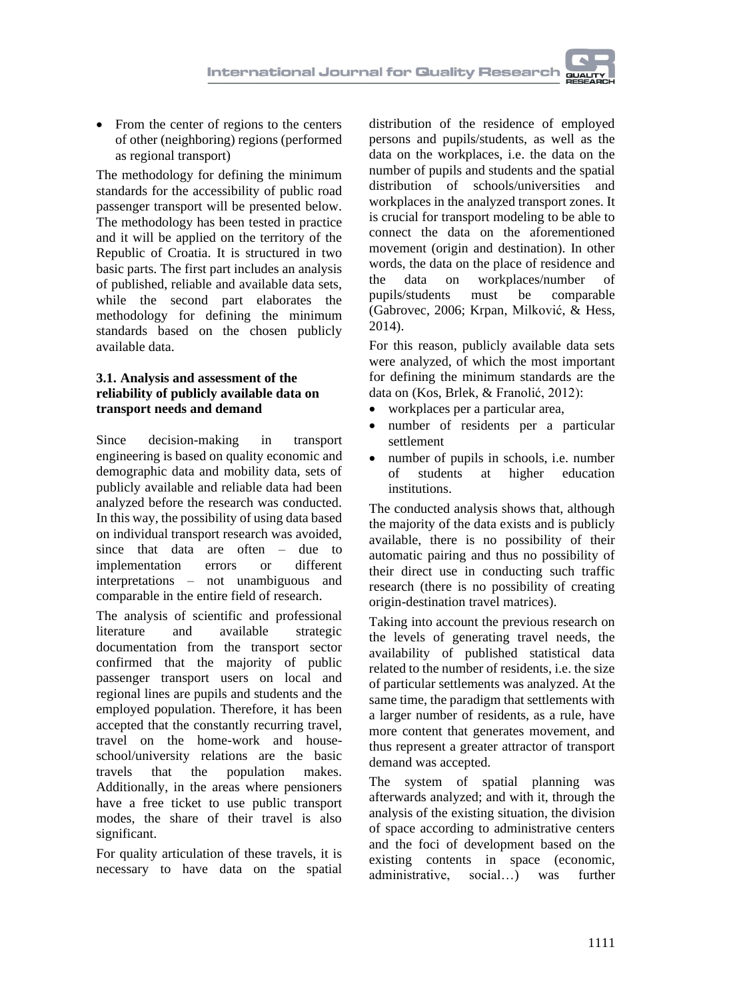• From the center of regions to the centers of other (neighboring) regions (performed as regional transport)

The methodology for defining the minimum standards for the accessibility of public road passenger transport will be presented below. The methodology has been tested in practice and it will be applied on the territory of the Republic of Croatia. It is structured in two basic parts. The first part includes an analysis of published, reliable and available data sets, while the second part elaborates the methodology for defining the minimum standards based on the chosen publicly available data.

#### **3.1. Analysis and assessment of the reliability of publicly available data on transport needs and demand**

Since decision-making in transport engineering is based on quality economic and demographic data and mobility data, sets of publicly available and reliable data had been analyzed before the research was conducted. In this way, the possibility of using data based on individual transport research was avoided, since that data are often – due to implementation errors or different interpretations – not unambiguous and comparable in the entire field of research.

The analysis of scientific and professional literature and available strategic documentation from the transport sector confirmed that the majority of public passenger transport users on local and regional lines are pupils and students and the employed population. Therefore, it has been accepted that the constantly recurring travel, travel on the home-work and houseschool/university relations are the basic travels that the population makes. Additionally, in the areas where pensioners have a free ticket to use public transport modes, the share of their travel is also significant.

For quality articulation of these travels, it is necessary to have data on the spatial

distribution of the residence of employed persons and pupils/students, as well as the data on the workplaces, i.e. the data on the number of pupils and students and the spatial distribution of schools/universities and workplaces in the analyzed transport zones. It is crucial for transport modeling to be able to connect the data on the aforementioned movement (origin and destination). In other words, the data on the place of residence and the data on workplaces/number of pupils/students must be comparable (Gabrovec, 2006; Krpan, Milković, & Hess, 2014).

For this reason, publicly available data sets were analyzed, of which the most important for defining the minimum standards are the data on (Kos, Brlek, & Franolić, 2012):

- workplaces per a particular area,
- number of residents per a particular settlement
- number of pupils in schools, i.e. number of students at higher education institutions.

The conducted analysis shows that, although the majority of the data exists and is publicly available, there is no possibility of their automatic pairing and thus no possibility of their direct use in conducting such traffic research (there is no possibility of creating origin-destination travel matrices).

Taking into account the previous research on the levels of generating travel needs, the availability of published statistical data related to the number of residents, i.e. the size of particular settlements was analyzed. At the same time, the paradigm that settlements with a larger number of residents, as a rule, have more content that generates movement, and thus represent a greater attractor of transport demand was accepted.

The system of spatial planning was afterwards analyzed; and with it, through the analysis of the existing situation, the division of space according to administrative centers and the foci of development based on the existing contents in space (economic, administrative, social…) was further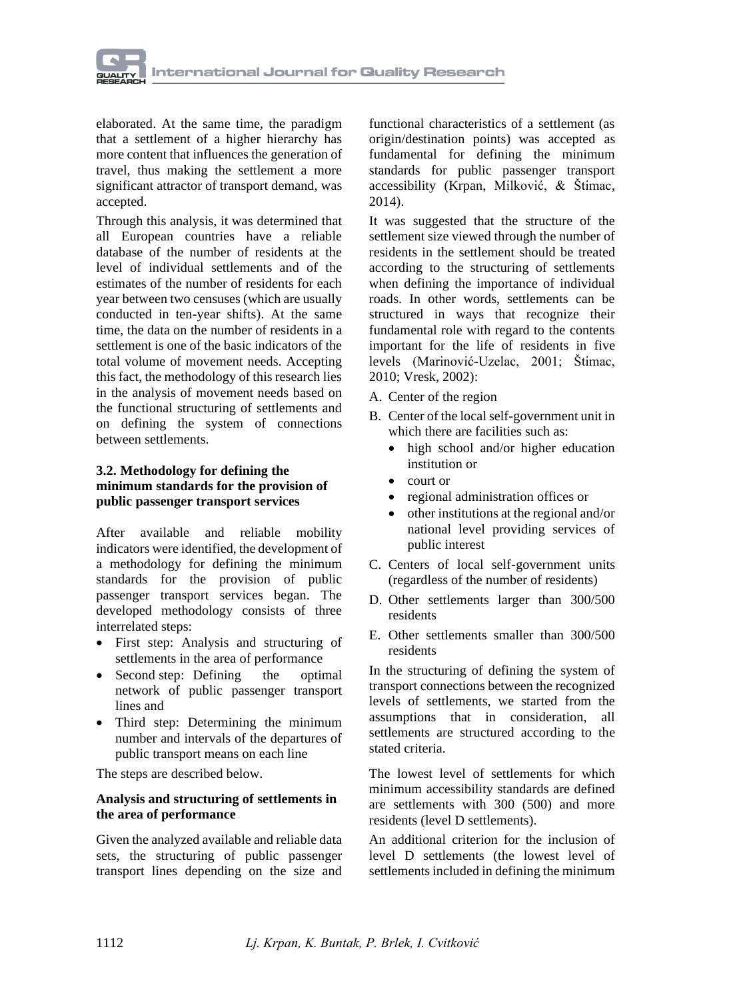

elaborated. At the same time, the paradigm that a settlement of a higher hierarchy has more content that influences the generation of travel, thus making the settlement a more significant attractor of transport demand, was accepted.

Through this analysis, it was determined that all European countries have a reliable database of the number of residents at the level of individual settlements and of the estimates of the number of residents for each year between two censuses (which are usually conducted in ten-year shifts). At the same time, the data on the number of residents in a settlement is one of the basic indicators of the total volume of movement needs. Accepting this fact, the methodology of this research lies in the analysis of movement needs based on the functional structuring of settlements and on defining the system of connections between settlements.

#### **3.2. Methodology for defining the minimum standards for the provision of public passenger transport services**

After available and reliable mobility indicators were identified, the development of a methodology for defining the minimum standards for the provision of public passenger transport services began. The developed methodology consists of three interrelated steps:

- First step: Analysis and structuring of settlements in the area of performance
- Second step: Defining the optimal network of public passenger transport lines and
- Third step: Determining the minimum number and intervals of the departures of public transport means on each line

The steps are described below.

#### **Analysis and structuring of settlements in the area of performance**

Given the analyzed available and reliable data sets, the structuring of public passenger transport lines depending on the size and

functional characteristics of a settlement (as origin/destination points) was accepted as fundamental for defining the minimum standards for public passenger transport accessibility (Krpan, Milković, & Štimac, 2014).

It was suggested that the structure of the settlement size viewed through the number of residents in the settlement should be treated according to the structuring of settlements when defining the importance of individual roads. In other words, settlements can be structured in ways that recognize their fundamental role with regard to the contents important for the life of residents in five levels (Marinović-Uzelac, 2001; Štimac, 2010; Vresk, 2002):

- A. Center of the region
- B. Center of the local self-government unit in which there are facilities such as:
	- high school and/or higher education institution or
	- court or
	- regional administration offices or
	- other institutions at the regional and/or national level providing services of public interest
- C. Centers of local self-government units (regardless of the number of residents)
- D. Other settlements larger than 300/500 residents
- E. Other settlements smaller than 300/500 residents

In the structuring of defining the system of transport connections between the recognized levels of settlements, we started from the assumptions that in consideration, all settlements are structured according to the stated criteria.

The lowest level of settlements for which minimum accessibility standards are defined are settlements with 300 (500) and more residents (level D settlements).

An additional criterion for the inclusion of level D settlements (the lowest level of settlements included in defining the minimum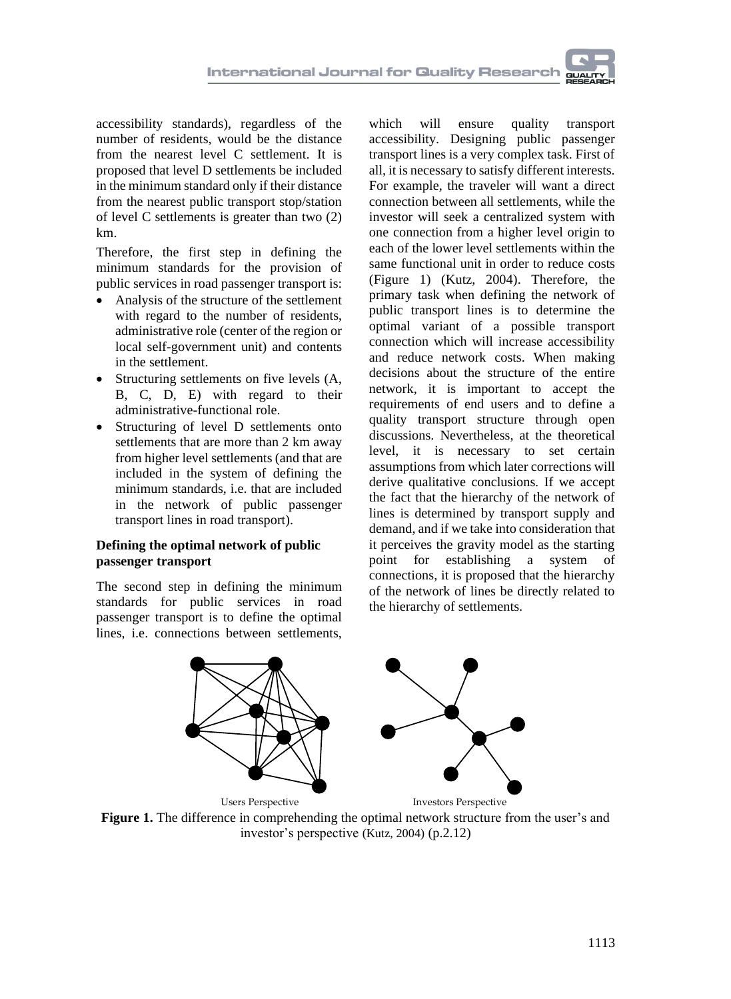accessibility standards), regardless of the number of residents, would be the distance from the nearest level C settlement. It is proposed that level D settlements be included in the minimum standard only if their distance from the nearest public transport stop/station of level C settlements is greater than two (2) km.

Therefore, the first step in defining the minimum standards for the provision of public services in road passenger transport is:

- Analysis of the structure of the settlement with regard to the number of residents, administrative role (center of the region or local self-government unit) and contents in the settlement.
- Structuring settlements on five levels  $(A, A)$ B, C, D, E) with regard to their administrative-functional role.
- Structuring of level D settlements onto settlements that are more than 2 km away from higher level settlements (and that are included in the system of defining the minimum standards, i.e. that are included in the network of public passenger transport lines in road transport).

#### **Defining the optimal network of public passenger transport**

The second step in defining the minimum standards for public services in road passenger transport is to define the optimal lines, i.e. connections between settlements,

which will ensure quality transport accessibility. Designing public passenger transport lines is a very complex task. First of all, it is necessary to satisfy different interests. For example, the traveler will want a direct connection between all settlements, while the investor will seek a centralized system with one connection from a higher level origin to each of the lower level settlements within the same functional unit in order to reduce costs (Figure 1) (Kutz, 2004). Therefore, the primary task when defining the network of public transport lines is to determine the optimal variant of a possible transport connection which will increase accessibility and reduce network costs. When making decisions about the structure of the entire network, it is important to accept the requirements of end users and to define a quality transport structure through open discussions. Nevertheless, at the theoretical level, it is necessary to set certain assumptions from which later corrections will derive qualitative conclusions. If we accept the fact that the hierarchy of the network of lines is determined by transport supply and demand, and if we take into consideration that it perceives the gravity model as the starting point for establishing a system of connections, it is proposed that the hierarchy of the network of lines be directly related to the hierarchy of settlements.



**Figure 1.** The difference in comprehending the optimal network structure from the user's and investor's perspective (Kutz, 2004) (p.2.12)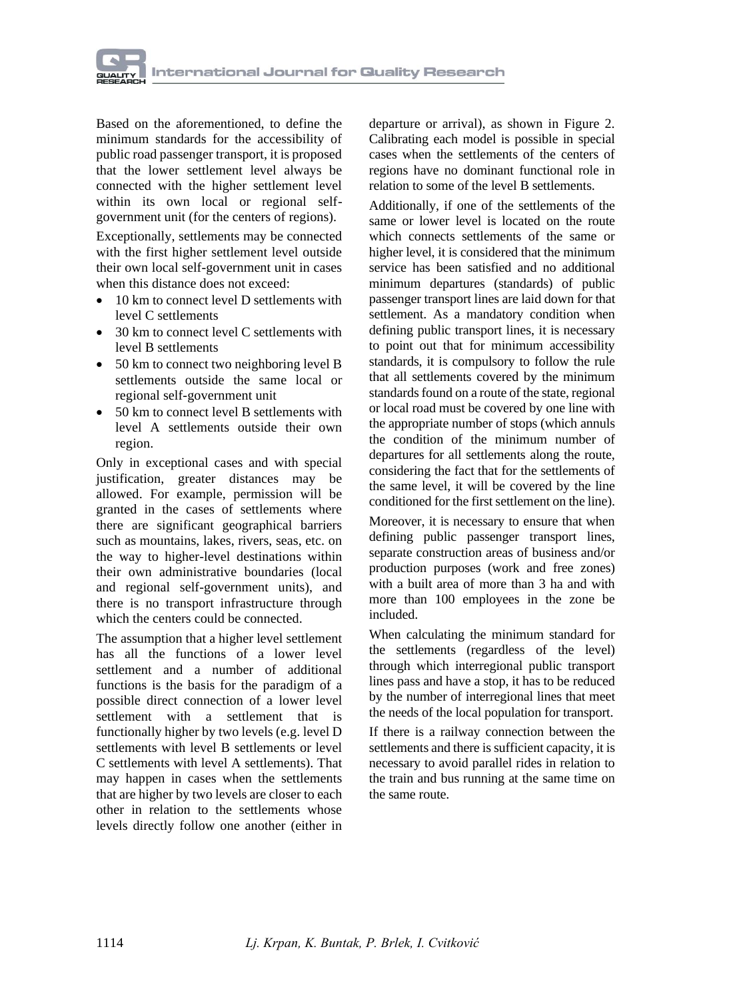

Based on the aforementioned, to define the minimum standards for the accessibility of public road passenger transport, it is proposed that the lower settlement level always be connected with the higher settlement level within its own local or regional selfgovernment unit (for the centers of regions).

Exceptionally, settlements may be connected with the first higher settlement level outside their own local self-government unit in cases when this distance does not exceed:

- 10 km to connect level D settlements with level C settlements
- 30 km to connect level C settlements with level B settlements
- 50 km to connect two neighboring level B settlements outside the same local or regional self-government unit
- 50 km to connect level B settlements with level A settlements outside their own region.

Only in exceptional cases and with special justification, greater distances may be allowed. For example, permission will be granted in the cases of settlements where there are significant geographical barriers such as mountains, lakes, rivers, seas, etc. on the way to higher-level destinations within their own administrative boundaries (local and regional self-government units), and there is no transport infrastructure through which the centers could be connected.

The assumption that a higher level settlement has all the functions of a lower level settlement and a number of additional functions is the basis for the paradigm of a possible direct connection of a lower level settlement with a settlement that is functionally higher by two levels (e.g. level D settlements with level B settlements or level C settlements with level A settlements). That may happen in cases when the settlements that are higher by two levels are closer to each other in relation to the settlements whose levels directly follow one another (either in

departure or arrival), as shown in Figure 2. Calibrating each model is possible in special cases when the settlements of the centers of regions have no dominant functional role in relation to some of the level B settlements.

Additionally, if one of the settlements of the same or lower level is located on the route which connects settlements of the same or higher level, it is considered that the minimum service has been satisfied and no additional minimum departures (standards) of public passenger transport lines are laid down for that settlement. As a mandatory condition when defining public transport lines, it is necessary to point out that for minimum accessibility standards, it is compulsory to follow the rule that all settlements covered by the minimum standards found on a route of the state, regional or local road must be covered by one line with the appropriate number of stops (which annuls the condition of the minimum number of departures for all settlements along the route, considering the fact that for the settlements of the same level, it will be covered by the line conditioned for the first settlement on the line).

Moreover, it is necessary to ensure that when defining public passenger transport lines, separate construction areas of business and/or production purposes (work and free zones) with a built area of more than 3 ha and with more than 100 employees in the zone be included.

When calculating the minimum standard for the settlements (regardless of the level) through which interregional public transport lines pass and have a stop, it has to be reduced by the number of interregional lines that meet the needs of the local population for transport.

If there is a railway connection between the settlements and there is sufficient capacity, it is necessary to avoid parallel rides in relation to the train and bus running at the same time on the same route.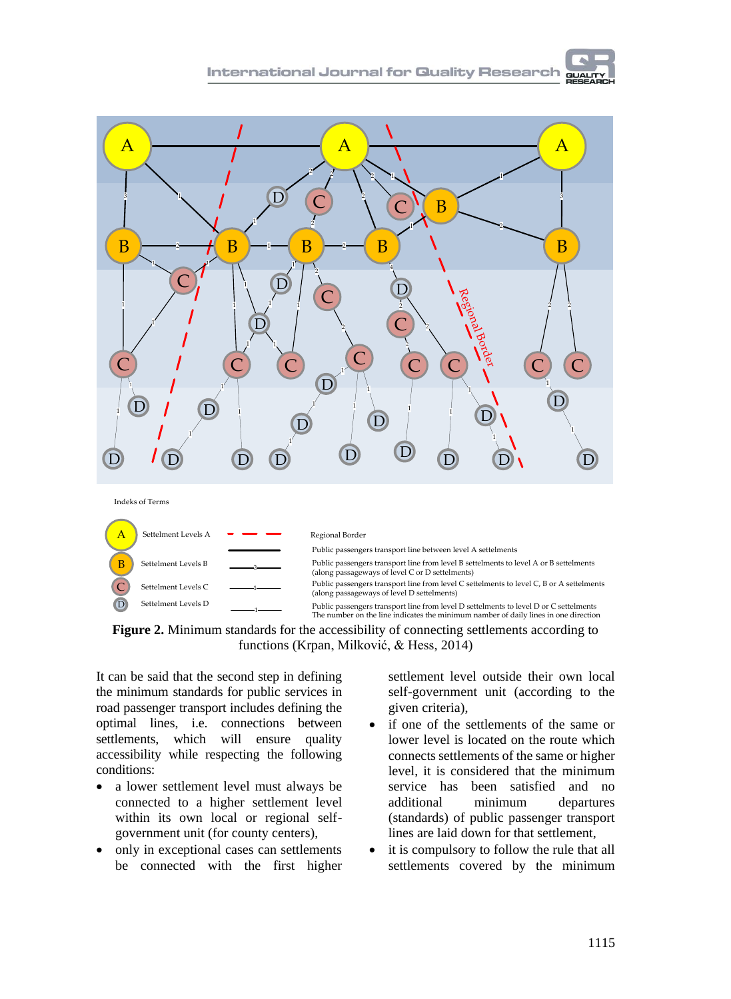

**Figure 2.** Minimum standards for the accessibility of connecting settlements according to functions (Krpan, Milković, & Hess, 2014)

It can be said that the second step in defining the minimum standards for public services in road passenger transport includes defining the optimal lines, i.e. connections between settlements, which will ensure quality accessibility while respecting the following conditions:

- a lower settlement level must always be connected to a higher settlement level within its own local or regional selfgovernment unit (for county centers),
- only in exceptional cases can settlements be connected with the first higher

settlement level outside their own local self-government unit (according to the given criteria),

- if one of the settlements of the same or lower level is located on the route which connects settlements of the same or higher level, it is considered that the minimum service has been satisfied and no additional minimum departures (standards) of public passenger transport lines are laid down for that settlement,
- it is compulsory to follow the rule that all settlements covered by the minimum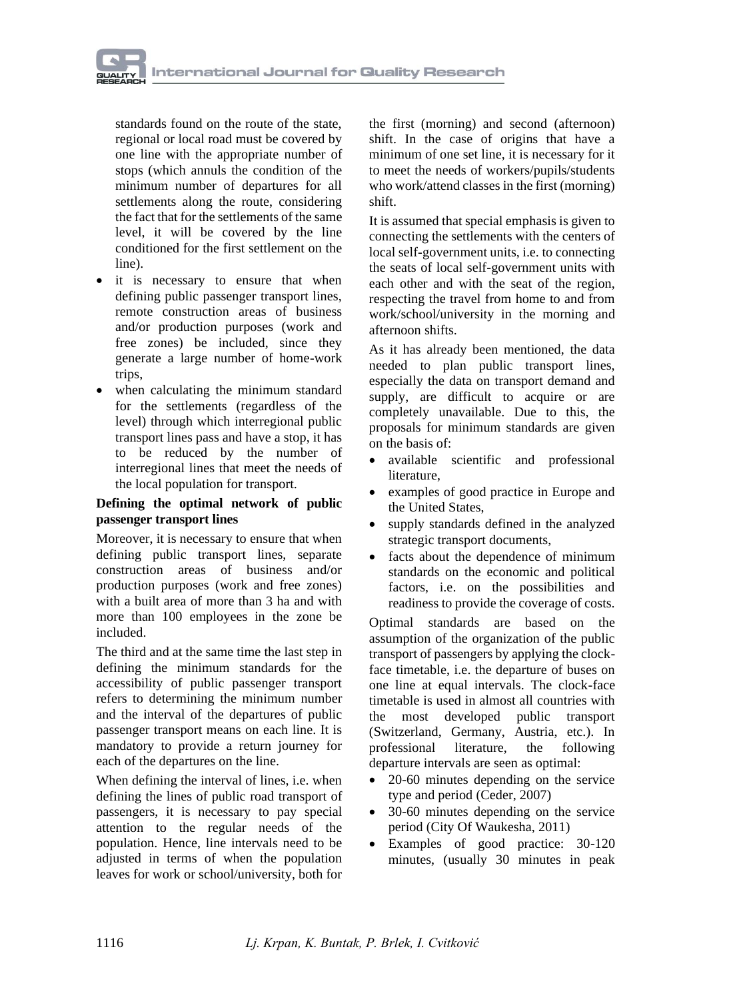

standards found on the route of the state, regional or local road must be covered by one line with the appropriate number of stops (which annuls the condition of the minimum number of departures for all settlements along the route, considering the fact that for the settlements of the same level, it will be covered by the line conditioned for the first settlement on the line).

- it is necessary to ensure that when defining public passenger transport lines, remote construction areas of business and/or production purposes (work and free zones) be included, since they generate a large number of home-work trips,
- when calculating the minimum standard for the settlements (regardless of the level) through which interregional public transport lines pass and have a stop, it has to be reduced by the number of interregional lines that meet the needs of the local population for transport.

#### **Defining the optimal network of public passenger transport lines**

Moreover, it is necessary to ensure that when defining public transport lines, separate construction areas of business and/or production purposes (work and free zones) with a built area of more than 3 ha and with more than 100 employees in the zone be included.

The third and at the same time the last step in defining the minimum standards for the accessibility of public passenger transport refers to determining the minimum number and the interval of the departures of public passenger transport means on each line. It is mandatory to provide a return journey for each of the departures on the line.

When defining the interval of lines, i.e. when defining the lines of public road transport of passengers, it is necessary to pay special attention to the regular needs of the population. Hence, line intervals need to be adjusted in terms of when the population leaves for work or school/university, both for

the first (morning) and second (afternoon) shift. In the case of origins that have a minimum of one set line, it is necessary for it to meet the needs of workers/pupils/students who work/attend classes in the first (morning) shift.

It is assumed that special emphasis is given to connecting the settlements with the centers of local self-government units, i.e. to connecting the seats of local self-government units with each other and with the seat of the region, respecting the travel from home to and from work/school/university in the morning and afternoon shifts.

As it has already been mentioned, the data needed to plan public transport lines, especially the data on transport demand and supply, are difficult to acquire or are completely unavailable. Due to this, the proposals for minimum standards are given on the basis of:

- available scientific and professional literature,
- examples of good practice in Europe and the United States,
- supply standards defined in the analyzed strategic transport documents,
- facts about the dependence of minimum standards on the economic and political factors, i.e. on the possibilities and readiness to provide the coverage of costs.

Optimal standards are based on the assumption of the organization of the public transport of passengers by applying the clockface timetable, i.e. the departure of buses on one line at equal intervals. The clock-face timetable is used in almost all countries with the most developed public transport (Switzerland, Germany, Austria, etc.). In professional literature, the following departure intervals are seen as optimal:

- 20-60 minutes depending on the service type and period (Ceder, 2007)
- 30-60 minutes depending on the service period (City Of Waukesha, 2011)
- Examples of good practice: 30-120 minutes, (usually 30 minutes in peak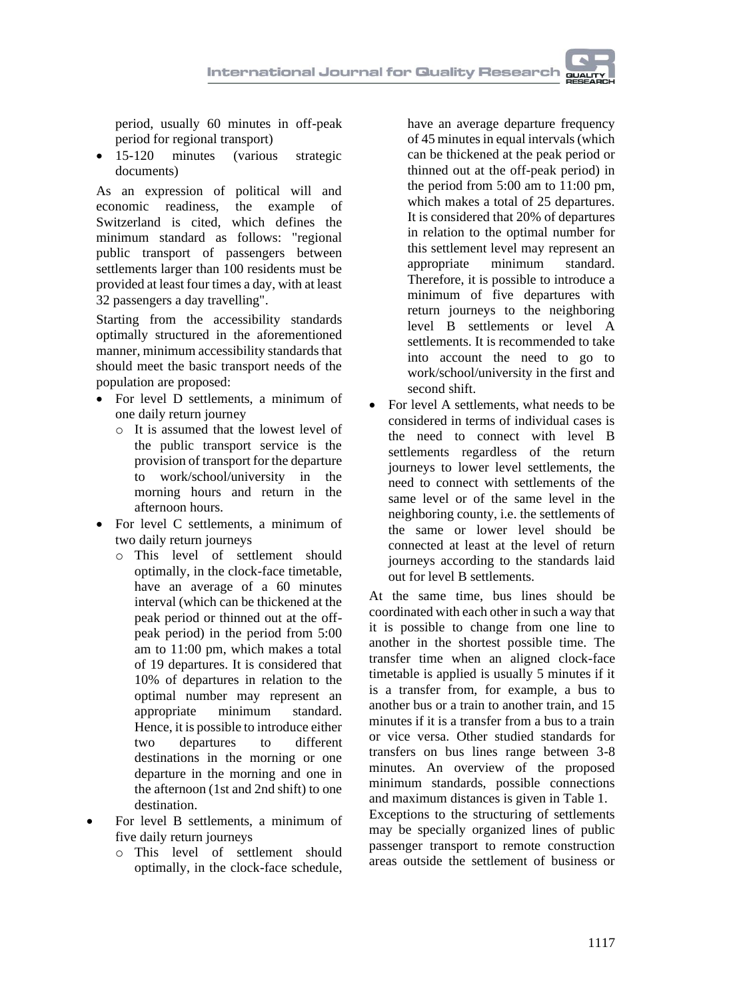period, usually 60 minutes in off-peak period for regional transport)

• 15-120 minutes (various strategic documents)

As an expression of political will and economic readiness, the example of Switzerland is cited, which defines the minimum standard as follows: "regional public transport of passengers between settlements larger than 100 residents must be provided at least four times a day, with at least 32 passengers a day travelling".

Starting from the accessibility standards optimally structured in the aforementioned manner, minimum accessibility standards that should meet the basic transport needs of the population are proposed:

- For level D settlements, a minimum of one daily return journey
	- o It is assumed that the lowest level of the public transport service is the provision of transport for the departure to work/school/university in the morning hours and return in the afternoon hours.
- For level C settlements, a minimum of two daily return journeys
	- o This level of settlement should optimally, in the clock-face timetable, have an average of a 60 minutes interval (which can be thickened at the peak period or thinned out at the offpeak period) in the period from 5:00 am to 11:00 pm, which makes a total of 19 departures. It is considered that 10% of departures in relation to the optimal number may represent an appropriate minimum standard. Hence, it is possible to introduce either two departures to different destinations in the morning or one departure in the morning and one in the afternoon (1st and 2nd shift) to one destination.
- For level B settlements, a minimum of five daily return journeys
	- o This level of settlement should optimally, in the clock-face schedule,

have an average departure frequency of 45 minutes in equal intervals (which can be thickened at the peak period or thinned out at the off-peak period) in the period from 5:00 am to 11:00 pm, which makes a total of 25 departures. It is considered that 20% of departures in relation to the optimal number for this settlement level may represent an appropriate minimum standard. Therefore, it is possible to introduce a minimum of five departures with return journeys to the neighboring level B settlements or level A settlements. It is recommended to take into account the need to go to work/school/university in the first and second shift.

• For level A settlements, what needs to be considered in terms of individual cases is the need to connect with level B settlements regardless of the return journeys to lower level settlements, the need to connect with settlements of the same level or of the same level in the neighboring county, i.e. the settlements of the same or lower level should be connected at least at the level of return journeys according to the standards laid out for level B settlements.

At the same time, bus lines should be coordinated with each other in such a way that it is possible to change from one line to another in the shortest possible time. The transfer time when an aligned clock-face timetable is applied is usually 5 minutes if it is a transfer from, for example, a bus to another bus or a train to another train, and 15 minutes if it is a transfer from a bus to a train or vice versa. Other studied standards for transfers on bus lines range between 3-8 minutes. An overview of the proposed minimum standards, possible connections and maximum distances is given in Table 1.

Exceptions to the structuring of settlements may be specially organized lines of public passenger transport to remote construction areas outside the settlement of business or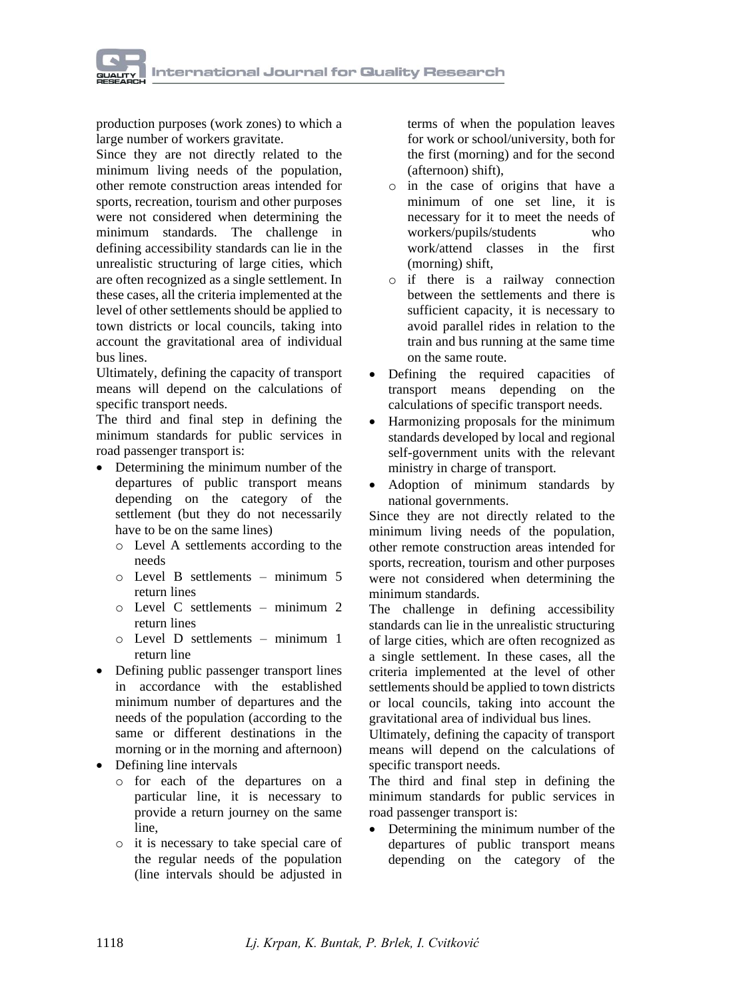

production purposes (work zones) to which a large number of workers gravitate.

Since they are not directly related to the minimum living needs of the population, other remote construction areas intended for sports, recreation, tourism and other purposes were not considered when determining the minimum standards. The challenge in defining accessibility standards can lie in the unrealistic structuring of large cities, which are often recognized as a single settlement. In these cases, all the criteria implemented at the level of other settlements should be applied to town districts or local councils, taking into account the gravitational area of individual bus lines.

Ultimately, defining the capacity of transport means will depend on the calculations of specific transport needs.

The third and final step in defining the minimum standards for public services in road passenger transport is:

- Determining the minimum number of the departures of public transport means depending on the category of the settlement (but they do not necessarily have to be on the same lines)
	- o Level A settlements according to the needs
	- o Level B settlements minimum 5 return lines
	- o Level C settlements minimum 2 return lines
	- o Level D settlements minimum 1 return line
- Defining public passenger transport lines in accordance with the established minimum number of departures and the needs of the population (according to the same or different destinations in the morning or in the morning and afternoon)
- Defining line intervals
	- o for each of the departures on a particular line, it is necessary to provide a return journey on the same line,
	- o it is necessary to take special care of the regular needs of the population (line intervals should be adjusted in

terms of when the population leaves for work or school/university, both for the first (morning) and for the second (afternoon) shift),

- o in the case of origins that have a minimum of one set line, it is necessary for it to meet the needs of workers/pupils/students who work/attend classes in the first (morning) shift,
- o if there is a railway connection between the settlements and there is sufficient capacity, it is necessary to avoid parallel rides in relation to the train and bus running at the same time on the same route.
- Defining the required capacities of transport means depending on the calculations of specific transport needs.
- Harmonizing proposals for the minimum standards developed by local and regional self-government units with the relevant ministry in charge of transport.
- Adoption of minimum standards by national governments.

Since they are not directly related to the minimum living needs of the population, other remote construction areas intended for sports, recreation, tourism and other purposes were not considered when determining the minimum standards.

The challenge in defining accessibility standards can lie in the unrealistic structuring of large cities, which are often recognized as a single settlement. In these cases, all the criteria implemented at the level of other settlements should be applied to town districts or local councils, taking into account the gravitational area of individual bus lines.

Ultimately, defining the capacity of transport means will depend on the calculations of specific transport needs.

The third and final step in defining the minimum standards for public services in road passenger transport is:

• Determining the minimum number of the departures of public transport means depending on the category of the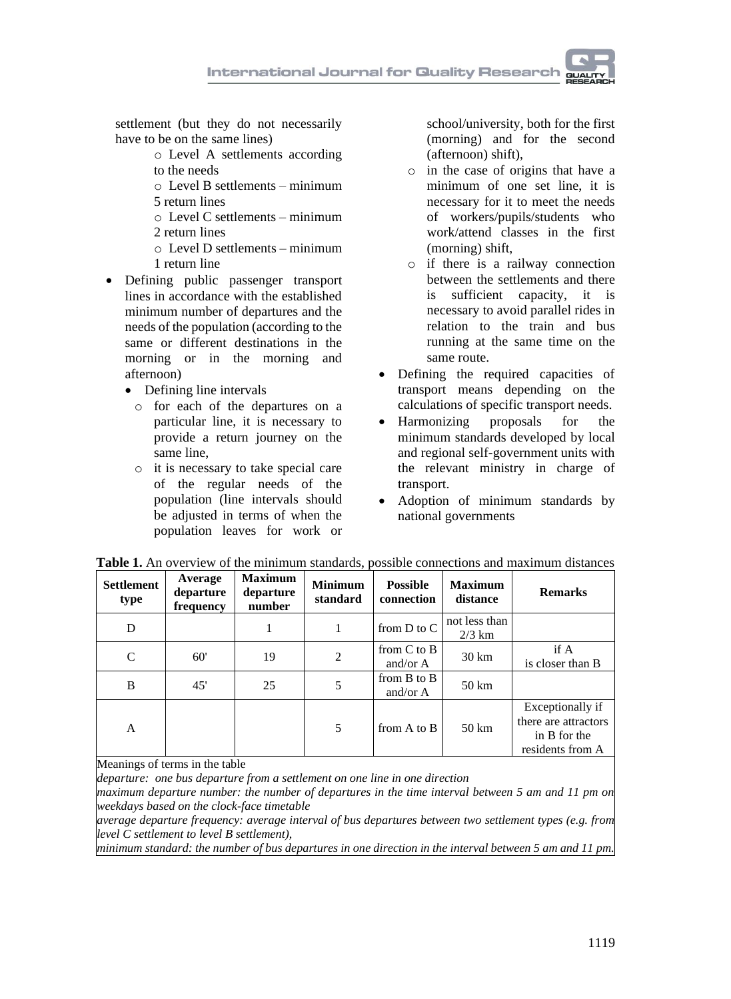settlement (but they do not necessarily have to be on the same lines)

- o Level A settlements according to the needs
- o Level B settlements minimum
- 5 return lines
- $\circ$  Level C settlements minimum
- 2 return lines
- o Level D settlements minimum 1 return line
- Defining public passenger transport lines in accordance with the established minimum number of departures and the needs of the population (according to the same or different destinations in the morning or in the morning and afternoon)
	- Defining line intervals
		- o for each of the departures on a particular line, it is necessary to provide a return journey on the same line,
		- o it is necessary to take special care of the regular needs of the population (line intervals should be adjusted in terms of when the population leaves for work or

school/university, both for the first (morning) and for the second (afternoon) shift),

- o in the case of origins that have a minimum of one set line, it is necessary for it to meet the needs of workers/pupils/students who work/attend classes in the first (morning) shift,
- o if there is a railway connection between the settlements and there is sufficient capacity, it is necessary to avoid parallel rides in relation to the train and bus running at the same time on the same route.
- Defining the required capacities of transport means depending on the calculations of specific transport needs.
- Harmonizing proposals for the minimum standards developed by local and regional self-government units with the relevant ministry in charge of transport.
- Adoption of minimum standards by national governments

| <b>Settlement</b><br>type | Average<br>departure<br>frequency | <b>Maximum</b><br>departure<br>number | <b>Minimum</b><br>standard | <b>Possible</b><br>connection | <b>Maximum</b><br>distance | <b>Remarks</b>                                                               |
|---------------------------|-----------------------------------|---------------------------------------|----------------------------|-------------------------------|----------------------------|------------------------------------------------------------------------------|
| D                         |                                   |                                       | 1                          | from $D$ to $C$               | not less than<br>$2/3$ km  |                                                                              |
| C                         | 60'                               | 19                                    | $\overline{2}$             | from $C$ to $B$<br>and/or $A$ | $30 \mathrm{km}$           | if A<br>is closer than B                                                     |
| B                         | 45'                               | 25                                    | 5                          | from $B$ to $B$<br>and/or $A$ | $50 \mathrm{km}$           |                                                                              |
| A                         |                                   |                                       | 5                          | from A to B                   | $50 \mathrm{km}$           | Exceptionally if<br>there are attractors<br>in B for the<br>residents from A |

**Table 1.** An overview of the minimum standards, possible connections and maximum distances

Meanings of terms in the table

*departure: one bus departure from a settlement on one line in one direction* 

*maximum departure number: the number of departures in the time interval between 5 am and 11 pm on weekdays based on the clock-face timetable*

*average departure frequency: average interval of bus departures between two settlement types (e.g. from level C settlement to level B settlement),*

*minimum standard: the number of bus departures in one direction in the interval between 5 am and 11 pm.*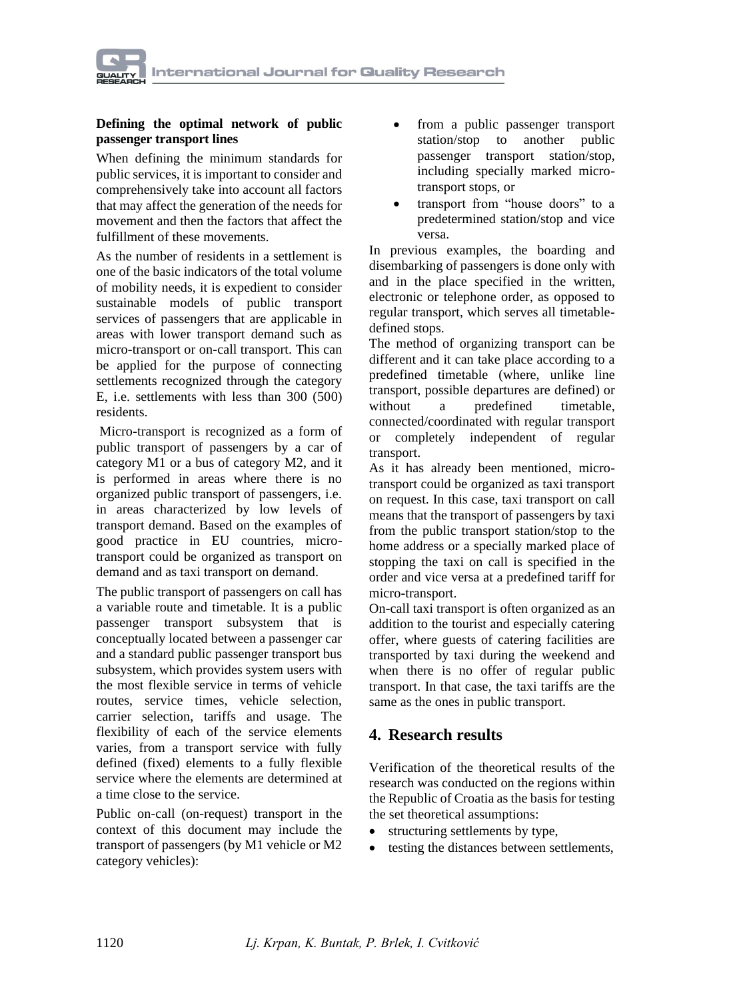#### **Defining the optimal network of public passenger transport lines**

When defining the minimum standards for public services, it is important to consider and comprehensively take into account all factors that may affect the generation of the needs for movement and then the factors that affect the fulfillment of these movements.

As the number of residents in a settlement is one of the basic indicators of the total volume of mobility needs, it is expedient to consider sustainable models of public transport services of passengers that are applicable in areas with lower transport demand such as micro-transport or on-call transport. This can be applied for the purpose of connecting settlements recognized through the category E, i.e. settlements with less than 300 (500) residents.

Micro-transport is recognized as a form of public transport of passengers by a car of category M1 or a bus of category M2, and it is performed in areas where there is no organized public transport of passengers, i.e. in areas characterized by low levels of transport demand. Based on the examples of good practice in EU countries, microtransport could be organized as transport on demand and as taxi transport on demand.

The public transport of passengers on call has a variable route and timetable. It is a public passenger transport subsystem that is conceptually located between a passenger car and a standard public passenger transport bus subsystem, which provides system users with the most flexible service in terms of vehicle routes, service times, vehicle selection, carrier selection, tariffs and usage. The flexibility of each of the service elements varies, from a transport service with fully defined (fixed) elements to a fully flexible service where the elements are determined at a time close to the service.

Public on-call (on-request) transport in the context of this document may include the transport of passengers (by M1 vehicle or M2 category vehicles):

- from a public passenger transport station/stop to another public passenger transport station/stop, including specially marked microtransport stops, or
- transport from "house doors" to a predetermined station/stop and vice versa.

In previous examples, the boarding and disembarking of passengers is done only with and in the place specified in the written, electronic or telephone order, as opposed to regular transport, which serves all timetabledefined stops.

The method of organizing transport can be different and it can take place according to a predefined timetable (where, unlike line transport, possible departures are defined) or without a predefined timetable. connected/coordinated with regular transport or completely independent of regular transport.

As it has already been mentioned, microtransport could be organized as taxi transport on request. In this case, taxi transport on call means that the transport of passengers by taxi from the public transport station/stop to the home address or a specially marked place of stopping the taxi on call is specified in the order and vice versa at a predefined tariff for micro-transport.

On-call taxi transport is often organized as an addition to the tourist and especially catering offer, where guests of catering facilities are transported by taxi during the weekend and when there is no offer of regular public transport. In that case, the taxi tariffs are the same as the ones in public transport.

## **4. Research results**

Verification of the theoretical results of the research was conducted on the regions within the Republic of Croatia as the basis for testing the set theoretical assumptions:

- structuring settlements by type,
- testing the distances between settlements,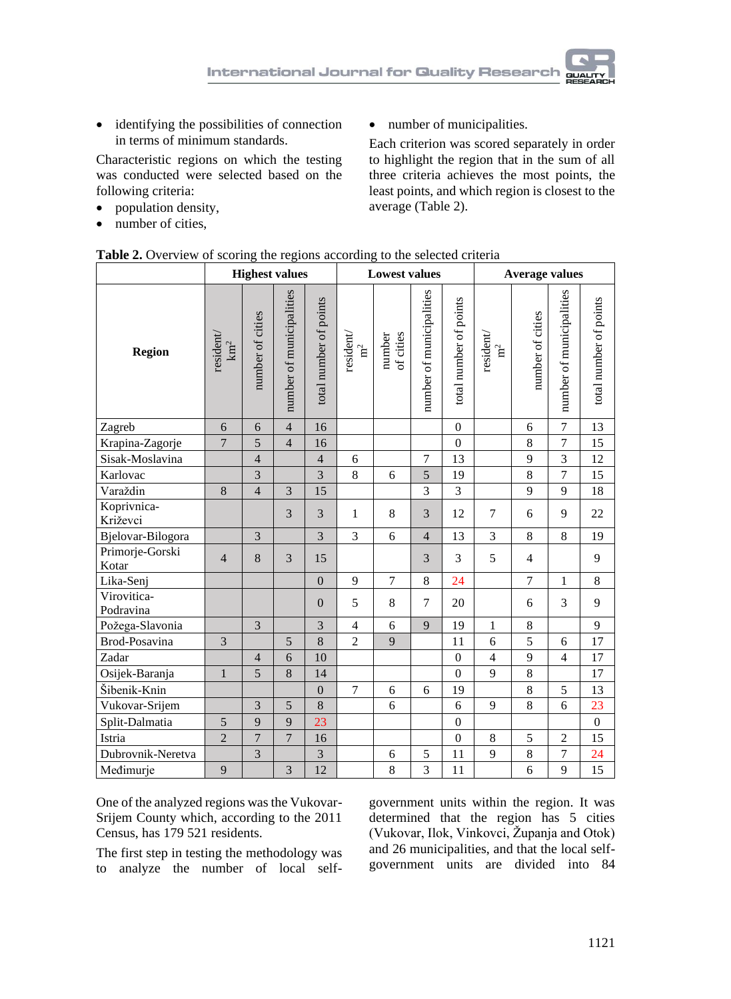

• identifying the possibilities of connection in terms of minimum standards.

Characteristic regions on which the testing was conducted were selected based on the following criteria:

- population density,
- number of cities,

• number of municipalities.

Each criterion was scored separately in order to highlight the region that in the sum of all three criteria achieves the most points, the least points, and which region is closest to the average (Table 2).

|                          | <b>Highest values</b>    |                  |                          |                        | <b>rable 2.</b> Overview of scoring the regions according to the selected criteria<br><b>Lowest values</b> |                     |                          |                        |                            |                    |                          |                        |
|--------------------------|--------------------------|------------------|--------------------------|------------------------|------------------------------------------------------------------------------------------------------------|---------------------|--------------------------|------------------------|----------------------------|--------------------|--------------------------|------------------------|
|                          |                          |                  |                          |                        |                                                                                                            |                     |                          |                        | <b>Average values</b>      |                    |                          |                        |
| Region                   | resident<br>${\rm km^2}$ | number of cities | number of municipalities | total number of points | resident<br>$\mathbf{n}^2$                                                                                 | of cities<br>number | number of municipalities | total number of points | resident<br>$\mathbf{n}^2$ | number of cities   | number of municipalities | total number of points |
| Zagreb                   | 6                        | 6                | $\overline{4}$           | 16                     |                                                                                                            |                     |                          | $\mathbf{0}$           |                            | 6                  | $\boldsymbol{7}$         | 13                     |
| Krapina-Zagorje          | $\overline{7}$           | $\overline{5}$   | $\overline{4}$           | 16                     |                                                                                                            |                     |                          | $\mathbf{0}$           |                            | 8                  | $\overline{7}$           | 15                     |
| Sisak-Moslavina          |                          | $\overline{4}$   |                          | $\overline{4}$         | 6                                                                                                          |                     | $\overline{7}$           | 13                     |                            | 9                  | $\overline{3}$           | 12                     |
| Karlovac                 |                          | 3                |                          | 3                      | $\,8\,$                                                                                                    | 6                   | 5                        | 19                     |                            | $\,8\,$            | $\boldsymbol{7}$         | 15                     |
| Varaždin                 | 8                        | $\overline{4}$   | 3                        | 15                     |                                                                                                            |                     | 3                        | $\overline{3}$         |                            | 9                  | 9                        | 18                     |
| Koprivnica-<br>Križevci  |                          |                  | 3                        | 3                      | $\mathbf{1}$                                                                                               | 8                   | 3                        | 12                     | $\overline{7}$             | 6                  | 9                        | 22                     |
| Bjelovar-Bilogora        |                          | 3                |                          | 3                      | 3                                                                                                          | 6                   | $\overline{4}$           | 13                     | 3                          | 8                  | 8                        | 19                     |
| Primorje-Gorski<br>Kotar | $\overline{4}$           | $\,8\,$          | 3                        | 15                     |                                                                                                            |                     | 3                        | 3                      | 5                          | $\overline{4}$     |                          | 9                      |
| Lika-Senj                |                          |                  |                          | $\overline{0}$         | 9                                                                                                          | $\overline{7}$      | 8                        | 24                     |                            | $\overline{7}$     | $\mathbf{1}$             | 8                      |
| Virovitica-<br>Podravina |                          |                  |                          | $\overline{0}$         | 5                                                                                                          | 8                   | $\tau$                   | 20                     |                            | 6                  | 3                        | 9                      |
| Požega-Slavonia          |                          | 3                |                          | $\overline{3}$         | $\overline{4}$                                                                                             | 6                   | 9                        | 19                     | $\mathbf{1}$               | 8                  |                          | 9                      |
| Brod-Posavina            | 3                        |                  | 5                        | $\bf 8$                | $\overline{c}$                                                                                             | 9                   |                          | 11                     | 6                          | 5                  | 6                        | 17                     |
| Zadar                    |                          | $\overline{4}$   | 6                        | 10                     |                                                                                                            |                     |                          | $\mathbf{0}$           | $\overline{4}$             | 9                  | $\overline{4}$           | 17                     |
| Osijek-Baranja           | $\mathbf{1}$             | 5                | 8                        | 14                     |                                                                                                            |                     |                          | $\mathbf{0}$           | 9                          | 8                  |                          | 17                     |
| Šibenik-Knin             |                          |                  |                          | $\boldsymbol{0}$       | $\overline{7}$                                                                                             | 6                   | 6                        | 19                     |                            | $\,8\,$            | 5                        | 13                     |
| Vukovar-Srijem           |                          | 3                | 5                        | 8                      |                                                                                                            | 6                   |                          | $6\,$                  | 9                          | $\overline{8}$     | 6                        | 23                     |
| Split-Dalmatia           | 5                        | 9                | 9                        | 23                     |                                                                                                            |                     |                          | $\mathbf{0}$           |                            |                    |                          | $\boldsymbol{0}$       |
| Istria                   | $\sqrt{2}$               | $\boldsymbol{7}$ | $\overline{7}$           | 16                     |                                                                                                            |                     |                          | $\mathbf{0}$           | 8                          | 5                  | $\sqrt{2}$               | 15                     |
| Dubrovnik-Neretva        |                          | $\overline{3}$   |                          | $\overline{3}$         |                                                                                                            | 6                   | 5                        | 11                     | 9                          | $\overline{\bf 8}$ | $\boldsymbol{7}$         | 24                     |
| Međimurje                | 9                        |                  | $\overline{3}$           | 12                     |                                                                                                            | 8                   | $\overline{3}$           | 11                     |                            | 6                  | 9                        | 15                     |

|  |  |  |  | Table 2. Overview of scoring the regions according to the selected criteria |  |  |  |
|--|--|--|--|-----------------------------------------------------------------------------|--|--|--|
|--|--|--|--|-----------------------------------------------------------------------------|--|--|--|

One of the analyzed regions was the Vukovar-Srijem County which, according to the 2011 Census, has 179 521 residents.

The first step in testing the methodology was to analyze the number of local selfgovernment units within the region. It was determined that the region has 5 cities (Vukovar, Ilok, Vinkovci, Županja and Otok) and 26 municipalities, and that the local selfgovernment units are divided into 84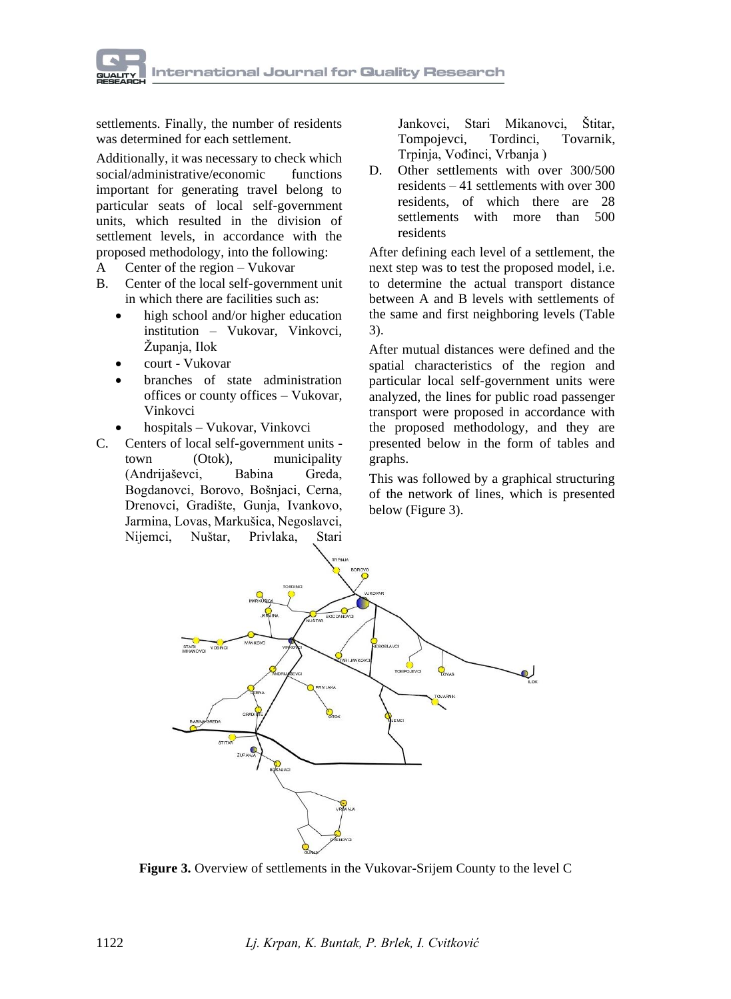

settlements. Finally, the number of residents was determined for each settlement.

Additionally, it was necessary to check which social/administrative/economic functions important for generating travel belong to particular seats of local self-government units, which resulted in the division of settlement levels, in accordance with the proposed methodology, into the following:

- A Center of the region Vukovar
- B. Center of the local self-government unit in which there are facilities such as:
	- high school and/or higher education institution – Vukovar, Vinkovci, Županja, Ilok
	- court Vukovar
	- branches of state administration offices or county offices – Vukovar, Vinkovci
	- hospitals Vukovar, Vinkovci
- C. Centers of local self-government units town (Otok), municipality (Andrijaševci, Babina Greda, Bogdanovci, Borovo, Bošnjaci, Cerna, Drenovci, Gradište, Gunja, Ivankovo, Jarmina, Lovas, Markušica, Negoslavci, Nijemci, Nuštar, Privlaka, Stari

Jankovci, Stari Mikanovci, Štitar, Tompojevci, Tordinci, Tovarnik, Trpinja, Vođinci, Vrbanja )

D. Other settlements with over 300/500 residents – 41 settlements with over 300 residents, of which there are 28 settlements with more than 500 residents

After defining each level of a settlement, the next step was to test the proposed model, i.e. to determine the actual transport distance between A and B levels with settlements of the same and first neighboring levels (Table 3).

After mutual distances were defined and the spatial characteristics of the region and particular local self-government units were analyzed, the lines for public road passenger transport were proposed in accordance with the proposed methodology, and they are presented below in the form of tables and graphs.

This was followed by a graphical structuring of the network of lines, which is presented below (Figure 3).



**Figure 3.** Overview of settlements in the Vukovar-Srijem County to the level C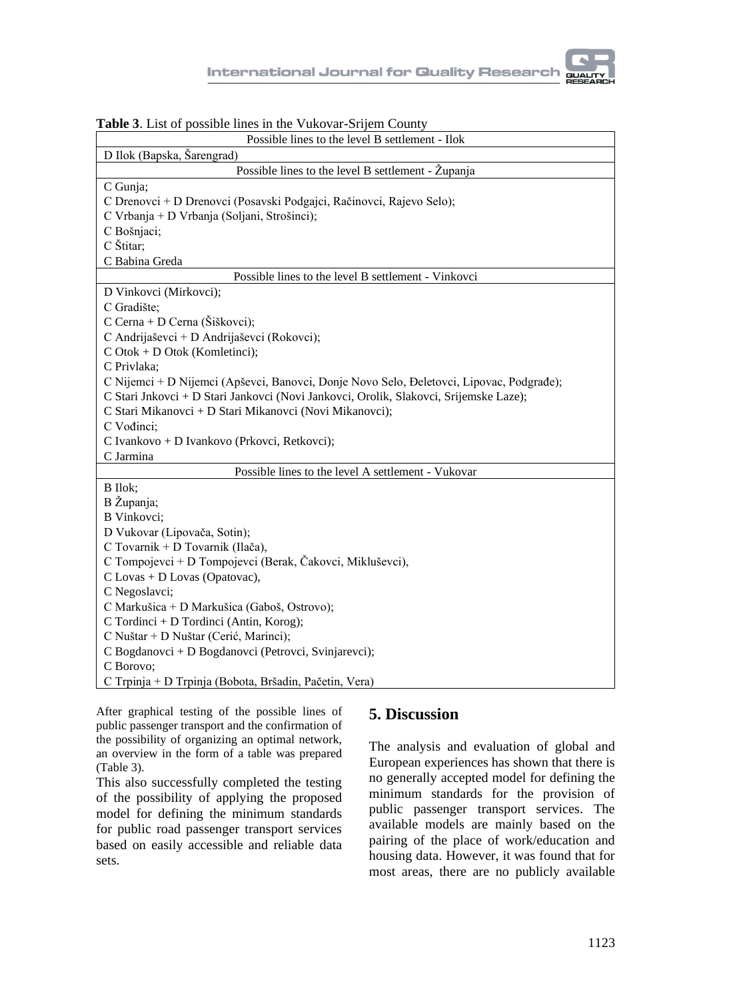| <b>Lable 5.</b> List of possible fines in the valoval-strictle County                    |
|------------------------------------------------------------------------------------------|
| Possible lines to the level B settlement - Ilok                                          |
| D Ilok (Bapska, Šarengrad)                                                               |
| Possible lines to the level B settlement - Županja                                       |
| C Gunja;                                                                                 |
| C Drenovci + D Drenovci (Posavski Podgajci, Račinovci, Rajevo Selo);                     |
| C Vrbanja + D Vrbanja (Soljani, Strošinci);                                              |
| C Bošnjaci;                                                                              |
| C Štitar;                                                                                |
| C Babina Greda                                                                           |
| Possible lines to the level B settlement - Vinkovci                                      |
| D Vinkovci (Mirkovci);                                                                   |
| C Gradište;                                                                              |
| C Cerna + D Cerna (Šiškovci);                                                            |
| C Andrijaševci + D Andrijaševci (Rokovci);                                               |
| $C$ Otok + D Otok (Komletinci);                                                          |
| C Privlaka;                                                                              |
| C Nijemci + D Nijemci (Apševci, Banovci, Donje Novo Selo, Đeletovci, Lipovac, Podgrađe); |
| C Stari Jnkovci + D Stari Jankovci (Novi Jankovci, Orolik, Slakovci, Srijemske Laze);    |
| C Stari Mikanovci + D Stari Mikanovci (Novi Mikanovci);                                  |
| C Vođinci;                                                                               |
| C Ivankovo + D Ivankovo (Prkovci, Retkovci);                                             |
| C Jarmina                                                                                |
| Possible lines to the level A settlement - Vukovar                                       |
| B Ilok;                                                                                  |
| B Županja;                                                                               |
| B Vinkovci;                                                                              |
| D Vukovar (Lipovača, Sotin);                                                             |
| C Tovarnik + D Tovarnik (Ilača),                                                         |
| C Tompojevci + D Tompojevci (Berak, Čakovci, Mikluševci),                                |
| C Lovas + D Lovas (Opatovac),                                                            |
| C Negoslavci;                                                                            |
| C Markušica + D Markušica (Gaboš, Ostrovo);                                              |
| C Tordinci + D Tordinci (Antin, Korog);                                                  |
| C Nuštar + D Nuštar (Cerić, Marinci);                                                    |
| C Bogdanovci + D Bogdanovci (Petrovci, Svinjarevci);                                     |
| C Borovo;                                                                                |
| C Trpinja + D Trpinja (Bobota, Bršadin, Pačetin, Vera)                                   |

**Table 3**. List of possible lines in the Vukovar-Srijem County

After graphical testing of the possible lines of public passenger transport and the confirmation of the possibility of organizing an optimal network, an overview in the form of a table was prepared (Table 3).

This also successfully completed the testing of the possibility of applying the proposed model for defining the minimum standards for public road passenger transport services based on easily accessible and reliable data sets.

### **5. Discussion**

The analysis and evaluation of global and European experiences has shown that there is no generally accepted model for defining the minimum standards for the provision of public passenger transport services. The available models are mainly based on the pairing of the place of work/education and housing data. However, it was found that for most areas, there are no publicly available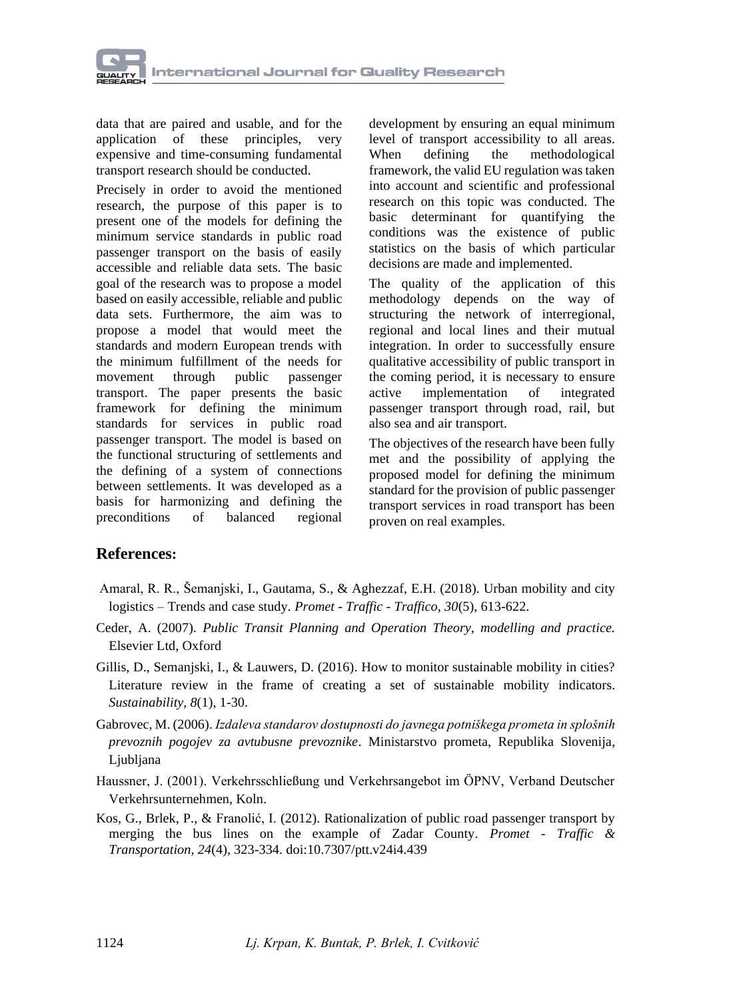

data that are paired and usable, and for the application of these principles, very expensive and time-consuming fundamental transport research should be conducted.

Precisely in order to avoid the mentioned research, the purpose of this paper is to present one of the models for defining the minimum service standards in public road passenger transport on the basis of easily accessible and reliable data sets. The basic goal of the research was to propose a model based on easily accessible, reliable and public data sets. Furthermore, the aim was to propose a model that would meet the standards and modern European trends with the minimum fulfillment of the needs for movement through public passenger transport. The paper presents the basic framework for defining the minimum standards for services in public road passenger transport. The model is based on the functional structuring of settlements and the defining of a system of connections between settlements. It was developed as a basis for harmonizing and defining the<br>preconditions of balanced regional preconditions of balanced regional

development by ensuring an equal minimum level of transport accessibility to all areas. When defining the methodological framework, the valid EU regulation was taken into account and scientific and professional research on this topic was conducted. The basic determinant for quantifying the conditions was the existence of public statistics on the basis of which particular decisions are made and implemented.

The quality of the application of this methodology depends on the way of structuring the network of interregional, regional and local lines and their mutual integration. In order to successfully ensure qualitative accessibility of public transport in the coming period, it is necessary to ensure active implementation of integrated passenger transport through road, rail, but also sea and air transport.

The objectives of the research have been fully met and the possibility of applying the proposed model for defining the minimum standard for the provision of public passenger transport services in road transport has been proven on real examples.

### **References:**

- Amaral, R. R., Šemanjski, I., Gautama, S., & Aghezzaf, E.H. (2018). Urban mobility and city logistics – Trends and case study*. Promet - Traffic - Traffico, 30*(5), 613-622.
- Ceder, A. (2007). *Public Transit Planning and Operation Theory, modelling and practice.* Elsevier Ltd, Oxford
- Gillis, D., Semanjski, I., & Lauwers, D. (2016). How to monitor sustainable mobility in cities? Literature review in the frame of creating a set of sustainable mobility indicators. *Sustainability, 8*(1), 1-30.
- Gabrovec, M. (2006). *Izdaleva standarov dostupnosti do javnega potniškega prometa in splošnih prevoznih pogojev za avtubusne prevoznike*. Ministarstvo prometa, Republika Slovenija, Ljubljana
- Haussner, J. (2001). Verkehrsschließung und Verkehrsangebot im ÖPNV, Verband Deutscher Verkehrsunternehmen, Koln.
- Kos, G., Brlek, P., & Franolić, I. (2012). [Rationalization of public road passenger transport by](https://www.bib.irb.hr/592045)  [merging the bus lines on the example of Zadar County](https://www.bib.irb.hr/592045)*. Promet - Traffic & Transportation, 24*(4), 323-334. doi:10.7307/ptt.v24i4.439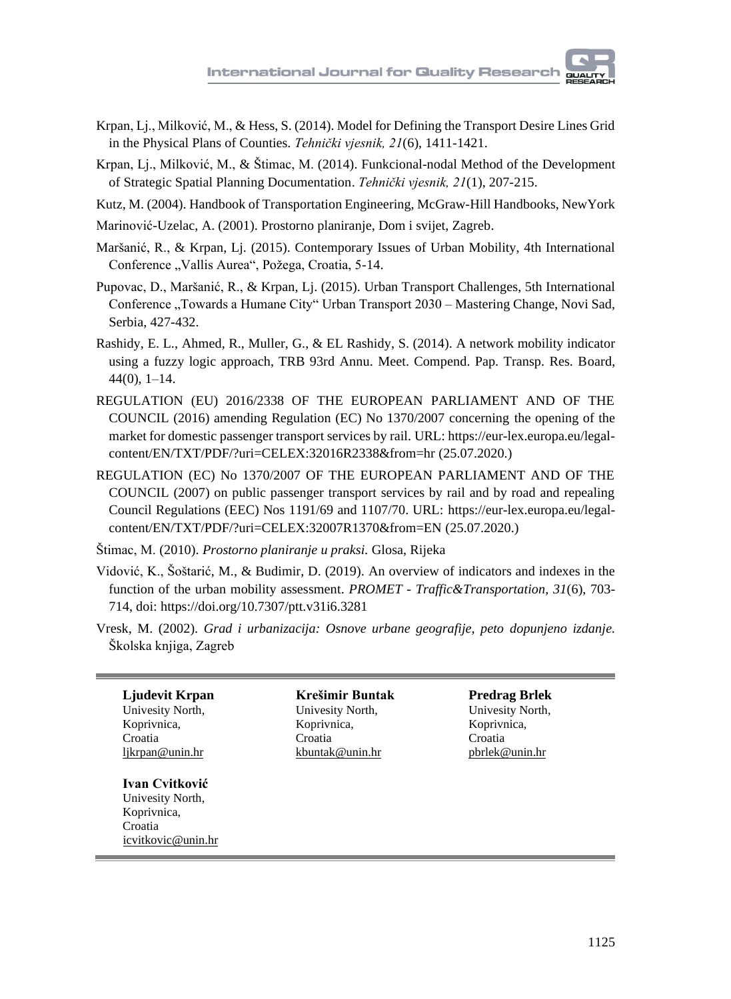- Krpan, Lj., Milković, M., & Hess, S. (2014). Model for Defining the Transport Desire Lines Grid in the Physical Plans of Counties*. Tehnički vjesnik, 21*(6), 1411-1421.
- Krpan, Lj., Milković, M., & Štimac, M. (2014). Funkcional-nodal Method of the Development of Strategic Spatial Planning Documentation. *Tehnički vjesnik, 21*(1), 207-215.
- Kutz, M. (2004). Handbook of Transportation Engineering, McGraw-Hill Handbooks, NewYork
- Marinović-Uzelac, A. (2001). Prostorno planiranje, Dom i svijet, Zagreb.
- Maršanić, R., & Krpan, Lj. (2015). Contemporary Issues of Urban Mobility, 4th International Conference "Vallis Aurea", Požega, Croatia, 5-14.
- Pupovac, D., Maršanić, R., & Krpan, Lj. (2015). Urban Transport Challenges, 5th International Conference "Towards a Humane City" Urban Transport 2030 - Mastering Change, Novi Sad, Serbia, 427-432.
- Rashidy, E. L., Ahmed, R., Muller, G., & EL Rashidy, S. (2014). A network mobility indicator using a fuzzy logic approach, TRB 93rd Annu. Meet. Compend. Pap. Transp. Res. Board, 44(0), 1–14.
- REGULATION (EU) 2016/2338 OF THE EUROPEAN PARLIAMENT AND OF THE COUNCIL (2016) amending Regulation (EC) No 1370/2007 concerning the opening of the market for domestic passenger transport services by rail. URL[: https://eur-lex.europa.eu/legal](https://eur-lex.europa.eu/legal-content/EN/TXT/PDF/?uri=CELEX:32016R2338&from=hr)[content/EN/TXT/PDF/?uri=CELEX:32016R2338&from=hr](https://eur-lex.europa.eu/legal-content/EN/TXT/PDF/?uri=CELEX:32016R2338&from=hr) (25.07.2020.)
- REGULATION (EC) No 1370/2007 OF THE EUROPEAN PARLIAMENT AND OF THE COUNCIL (2007) on public passenger transport services by rail and by road and repealing Council Regulations (EEC) Nos 1191/69 and 1107/70. URL: [https://eur-lex.europa.eu/legal](https://eur-lex.europa.eu/legal-content/EN/TXT/PDF/?uri=CELEX:32007R1370&from=EN)[content/EN/TXT/PDF/?uri=CELEX:32007R1370&from=EN](https://eur-lex.europa.eu/legal-content/EN/TXT/PDF/?uri=CELEX:32007R1370&from=EN) (25.07.2020.)
- Štimac, M. (2010). *Prostorno planiranje u praksi.* Glosa, Rijeka
- Vidović, K., Šoštarić, M., & Budimir, D. (2019). An overview of indicators and indexes in the function of the urban mobility assessment. *PROMET - Traffic&Transportation, 31*(6), 703- 714, doi:<https://doi.org/10.7307/ptt.v31i6.3281>
- Vresk, M. (2002). *Grad i urbanizacija: Osnove urbane geografije, peto dopunjeno izdanje.* Školska knjiga, Zagreb

**Ljudevit Krpan** Univesity North, Koprivnica, Croatia likrpan@unin.hr

## **Ivan Cvitković**

Univesity North, Koprivnica, Croatia icvitkovic@unin.hr

**Krešimir Buntak** Univesity North, Koprivnica, Croatia kbuntak@unin.hr

**Predrag Brlek** Univesity North, Koprivnica, Croatia pbrlek@unin.hr